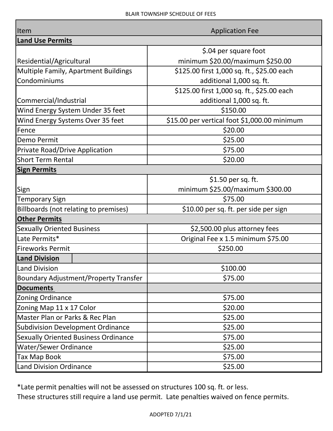| Item                                         |  | <b>Application Fee</b>                       |  |
|----------------------------------------------|--|----------------------------------------------|--|
| <b>Land Use Permits</b>                      |  |                                              |  |
|                                              |  | \$.04 per square foot                        |  |
| Residential/Agricultural                     |  | minimum \$20.00/maximum \$250.00             |  |
| Multiple Family, Apartment Buildings         |  | \$125.00 first 1,000 sq. ft., \$25.00 each   |  |
| Condominiums                                 |  | additional 1,000 sq. ft.                     |  |
|                                              |  | \$125.00 first 1,000 sq. ft., \$25.00 each   |  |
| Commercial/Industrial                        |  | additional 1,000 sq. ft.                     |  |
| Wind Energy System Under 35 feet             |  | \$150.00                                     |  |
| Wind Energy Systems Over 35 feet             |  | \$15.00 per vertical foot \$1,000.00 minimum |  |
| Fence                                        |  | \$20.00                                      |  |
| Demo Permit                                  |  | \$25.00                                      |  |
| <b>Private Road/Drive Application</b>        |  | \$75.00                                      |  |
| <b>Short Term Rental</b>                     |  | \$20.00                                      |  |
| <b>Sign Permits</b>                          |  |                                              |  |
|                                              |  | \$1.50 per sq. ft.                           |  |
| Sign                                         |  | minimum \$25.00/maximum \$300.00             |  |
| <b>Temporary Sign</b>                        |  | \$75.00                                      |  |
| Billboards (not relating to premises)        |  | \$10.00 per sq. ft. per side per sign        |  |
| <b>Other Permits</b>                         |  |                                              |  |
| <b>Sexually Oriented Business</b>            |  | \$2,500.00 plus attorney fees                |  |
| Late Permits*                                |  | Original Fee x 1.5 minimum \$75.00           |  |
| <b>Fireworks Permit</b>                      |  | \$250.00                                     |  |
| <b>Land Division</b>                         |  |                                              |  |
| <b>Land Division</b>                         |  | \$100.00                                     |  |
| <b>Boundary Adjustment/Property Transfer</b> |  | \$75.00                                      |  |
| <b>Documents</b>                             |  |                                              |  |
| Zoning Ordinance                             |  | \$75.00                                      |  |
| Zoning Map 11 x 17 Color                     |  | \$20.00                                      |  |
| Master Plan or Parks & Rec Plan              |  | \$25.00                                      |  |
| <b>Subdivision Development Ordinance</b>     |  | \$25.00                                      |  |
| <b>Sexually Oriented Business Ordinance</b>  |  | \$75.00                                      |  |
| <b>Water/Sewer Ordinance</b>                 |  | \$25.00                                      |  |
| Tax Map Book                                 |  | \$75.00                                      |  |
| <b>Land Division Ordinance</b>               |  | \$25.00                                      |  |

\*Late permit penalties will not be assessed on structures 100 sq. ft. or less.

These structures still require a land use permit. Late penalties waived on fence permits.